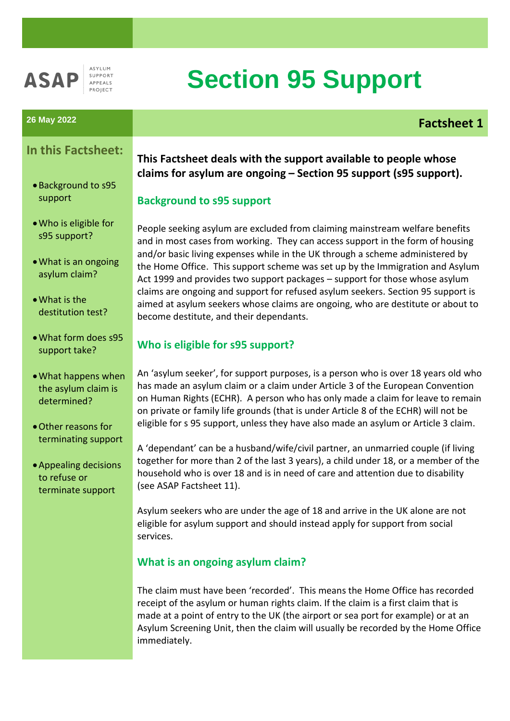

ASYLUM SUPPORT APPEALS ROIECT

# **Section 95 Support**

# **26 May 2022 Factsheet 1**

# **In this Factsheet:**

- •Background to s95 support
- •Who is eligible for s95 support?
- •What is an ongoing asylum claim?
- •What is the destitution test?
- •What form does s95 support take?
- •What happens when the asylum claim is determined?
- •Other reasons for terminating support
- •Appealing decisions to refuse or terminate support

# **This Factsheet deals with the support available to people whose claims for asylum are ongoing – Section 95 support (s95 support).**

### **Background to s95 support**

People seeking asylum are excluded from claiming mainstream welfare benefits and in most cases from working. They can access support in the form of housing and/or basic living expenses while in the UK through a scheme administered by the Home Office. This support scheme was set up by the Immigration and Asylum Act 1999 and provides two support packages – support for those whose asylum claims are ongoing and support for refused asylum seekers. Section 95 support is aimed at asylum seekers whose claims are ongoing, who are destitute or about to become destitute, and their dependants.

# **Who is eligible for s95 support?**

An 'asylum seeker', for support purposes, is a person who is over 18 years old who has made an asylum claim or a claim under Article 3 of the European Convention on Human Rights (ECHR). A person who has only made a claim for leave to remain on private or family life grounds (that is under Article 8 of the ECHR) will not be eligible for s 95 support, unless they have also made an asylum or Article 3 claim.

A 'dependant' can be a husband/wife/civil partner, an unmarried couple (if living together for more than 2 of the last 3 years), a child under 18, or a member of the household who is over 18 and is in need of care and attention due to disability (see ASAP Factsheet 11).

Asylum seekers who are under the age of 18 and arrive in the UK alone are not eligible for asylum support and should instead apply for support from social services.

#### **What is an ongoing asylum claim?**

The claim must have been 'recorded'. This means the Home Office has recorded receipt of the asylum or human rights claim. If the claim is a first claim that is made at a point of entry to the UK (the airport or sea port for example) or at an Asylum Screening Unit, then the claim will usually be recorded by the Home Office immediately.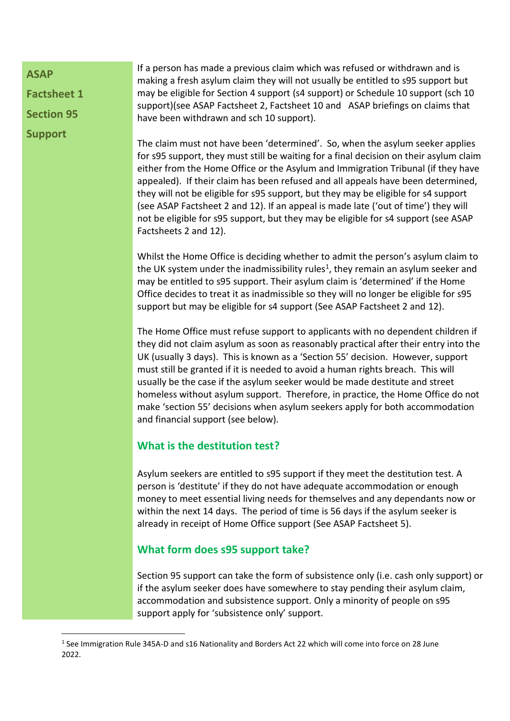**ASAP** 

**Factsheet 1**

**Section 95**

1

**Support** 

If a person has made a previous claim which was refused or withdrawn and is making a fresh asylum claim they will not usually be entitled to s95 support but may be eligible for Section 4 support (s4 support) or Schedule 10 support (sch 10 support)(see ASAP Factsheet 2, Factsheet 10 and ASAP briefings on claims that have been withdrawn and sch 10 support).

The claim must not have been 'determined'. So, when the asylum seeker applies for s95 support, they must still be waiting for a final decision on their asylum claim either from the Home Office or the Asylum and Immigration Tribunal (if they have appealed). If their claim has been refused and all appeals have been determined, they will not be eligible for s95 support, but they may be eligible for s4 support (see ASAP Factsheet 2 and 12). If an appeal is made late ('out of time') they will not be eligible for s95 support, but they may be eligible for s4 support (see ASAP Factsheets 2 and 12).

Whilst the Home Office is deciding whether to admit the person's asylum claim to the UK system under the inadmissibility rules<sup>1</sup>, they remain an asylum seeker and may be entitled to s95 support. Their asylum claim is 'determined' if the Home Office decides to treat it as inadmissible so they will no longer be eligible for s95 support but may be eligible for s4 support (See ASAP Factsheet 2 and 12).

The Home Office must refuse support to applicants with no dependent children if they did not claim asylum as soon as reasonably practical after their entry into the UK (usually 3 days). This is known as a 'Section 55' decision. However, support must still be granted if it is needed to avoid a human rights breach. This will usually be the case if the asylum seeker would be made destitute and street homeless without asylum support. Therefore, in practice, the Home Office do not make 'section 55' decisions when asylum seekers apply for both accommodation and financial support (see below).

# **What is the destitution test?**

Asylum seekers are entitled to s95 support if they meet the destitution test. A person is 'destitute' if they do not have adequate accommodation or enough money to meet essential living needs for themselves and any dependants now or within the next 14 days. The period of time is 56 days if the asylum seeker is already in receipt of Home Office support (See ASAP Factsheet 5).

# **What form does s95 support take?**

Section 95 support can take the form of subsistence only (i.e. cash only support) or if the asylum seeker does have somewhere to stay pending their asylum claim, accommodation and subsistence support. Only a minority of people on s95 support apply for 'subsistence only' support.

<sup>&</sup>lt;sup>1</sup> See Immigration Rule 345A-D and s16 Nationality and Borders Act 22 which will come into force on 28 June 2022.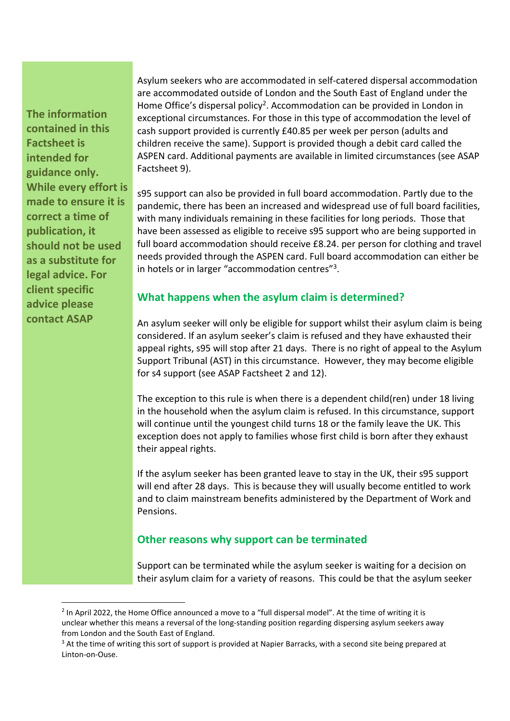**The information contained in this Factsheet is intended for guidance only. While every effort is made to ensure it is correct a time of publication, it should not be used as a substitute for legal advice. For client specific advice please contact ASAP**

**.** 

Asylum seekers who are accommodated in self-catered dispersal accommodation are accommodated outside of London and the South East of England under the Home Office's dispersal policy<sup>2</sup>. Accommodation can be provided in London in exceptional circumstances. For those in this type of accommodation the level of cash support provided is currently £40.85 per week per person (adults and children receive the same). Support is provided though a debit card called the ASPEN card. Additional payments are available in limited circumstances (see ASAP Factsheet 9).

s95 support can also be provided in full board accommodation. Partly due to the pandemic, there has been an increased and widespread use of full board facilities, with many individuals remaining in these facilities for long periods. Those that have been assessed as eligible to receive s95 support who are being supported in full board accommodation should receive £8.24. per person for clothing and travel needs provided through the ASPEN card. Full board accommodation can either be in hotels or in larger "accommodation centres"<sup>3</sup>.

#### **What happens when the asylum claim is determined?**

An asylum seeker will only be eligible for support whilst their asylum claim is being considered. If an asylum seeker's claim is refused and they have exhausted their appeal rights, s95 will stop after 21 days. There is no right of appeal to the Asylum Support Tribunal (AST) in this circumstance. However, they may become eligible for s4 support (see ASAP Factsheet 2 and 12).

The exception to this rule is when there is a dependent child(ren) under 18 living in the household when the asylum claim is refused. In this circumstance, support will continue until the youngest child turns 18 or the family leave the UK. This exception does not apply to families whose first child is born after they exhaust their appeal rights.

If the asylum seeker has been granted leave to stay in the UK, their s95 support will end after 28 days. This is because they will usually become entitled to work and to claim mainstream benefits administered by the Department of Work and Pensions.

#### **Other reasons why support can be terminated**

Support can be terminated while the asylum seeker is waiting for a decision on their asylum claim for a variety of reasons. This could be that the asylum seeker

<sup>&</sup>lt;sup>2</sup> In April 2022, the Home Office announced a move to a "full dispersal model". At the time of writing it is unclear whether this means a reversal of the long-standing position regarding dispersing asylum seekers away from London and the South East of England.

<sup>&</sup>lt;sup>3</sup> At the time of writing this sort of support is provided at Napier Barracks, with a second site being prepared at Linton-on-Ouse.